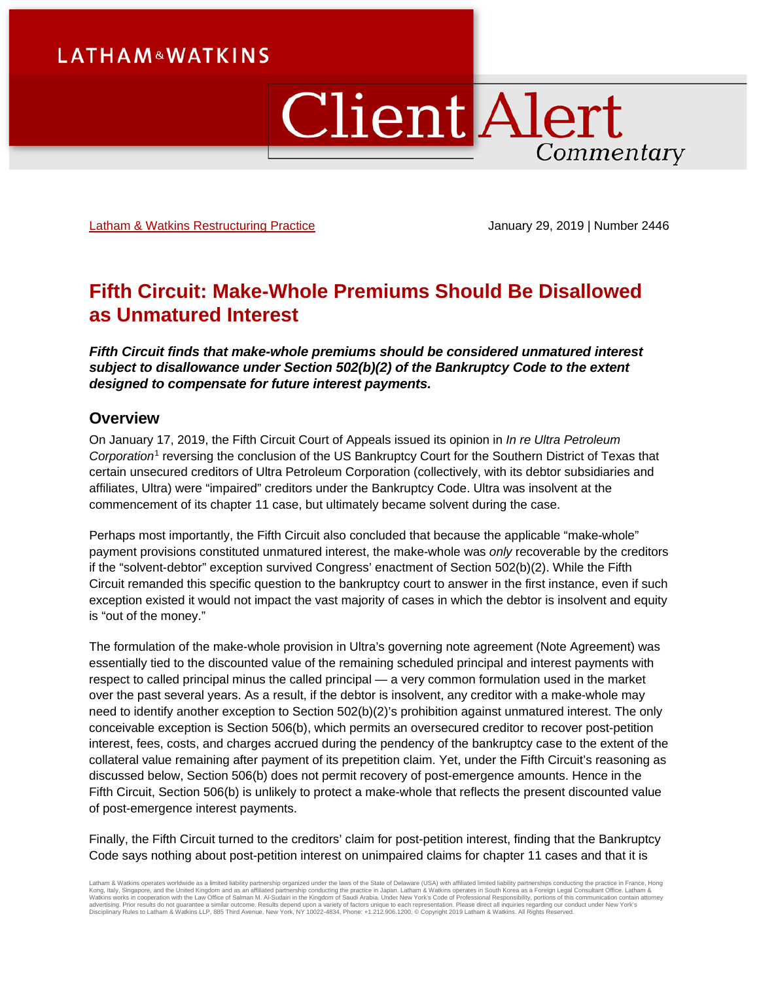# **Client Alert** Commentary

[Latham & Watkins Restructuring](https://www.lw.com/practices/CreditorsRightsandBankruptcyLitigation) Practice **Figure 2014** January 29, 2019 | Number 2446

# **Fifth Circuit: Make-Whole Premiums Should Be Disallowed as Unmatured Interest**

*Fifth Circuit finds that make-whole premiums should be considered unmatured interest subject to disallowance under Section 502(b)(2) of the Bankruptcy Code to the extent designed to compensate for future interest payments.*

# **Overview**

On January 17, 2019, the Fifth Circuit Court of Appeals issued its opinion in *In re Ultra Petroleum Corporation*[1](#page-5-0) reversing the conclusion of the US Bankruptcy Court for the Southern District of Texas that certain unsecured creditors of Ultra Petroleum Corporation (collectively, with its debtor subsidiaries and affiliates, Ultra) were "impaired" creditors under the Bankruptcy Code. Ultra was insolvent at the commencement of its chapter 11 case, but ultimately became solvent during the case.

Perhaps most importantly, the Fifth Circuit also concluded that because the applicable "make-whole" payment provisions constituted unmatured interest, the make-whole was *only* recoverable by the creditors if the "solvent-debtor" exception survived Congress' enactment of Section 502(b)(2). While the Fifth Circuit remanded this specific question to the bankruptcy court to answer in the first instance, even if such exception existed it would not impact the vast majority of cases in which the debtor is insolvent and equity is "out of the money."

The formulation of the make-whole provision in Ultra's governing note agreement (Note Agreement) was essentially tied to the discounted value of the remaining scheduled principal and interest payments with respect to called principal minus the called principal — a very common formulation used in the market over the past several years. As a result, if the debtor is insolvent, any creditor with a make-whole may need to identify another exception to Section 502(b)(2)'s prohibition against unmatured interest. The only conceivable exception is Section 506(b), which permits an oversecured creditor to recover post-petition interest, fees, costs, and charges accrued during the pendency of the bankruptcy case to the extent of the collateral value remaining after payment of its prepetition claim. Yet, under the Fifth Circuit's reasoning as discussed below, Section 506(b) does not permit recovery of post-emergence amounts. Hence in the Fifth Circuit, Section 506(b) is unlikely to protect a make-whole that reflects the present discounted value of post-emergence interest payments.

Finally, the Fifth Circuit turned to the creditors' claim for post-petition interest, finding that the Bankruptcy Code says nothing about post-petition interest on unimpaired claims for chapter 11 cases and that it is

Latham & Watkins operates worldwide as a limited liability partnership organized under the laws of the State of Delaware (USA) with affiliated limited liability partnerships conducting the practice in France, Hong<br>Kong, It advertising. Prior results do not guarantee a similar outcome. Results depend upon a variety of factors unique to each representation. Please direct all inquiries regarding our conduct under New York's Disciplinary Rules to Latham & Watkins LLP, 885 Third Avenue, New York, NY 10022-4834, Phone: +1.212.906.1200. © Copyright 2019 Latham & Watkins. All Rights Reserved.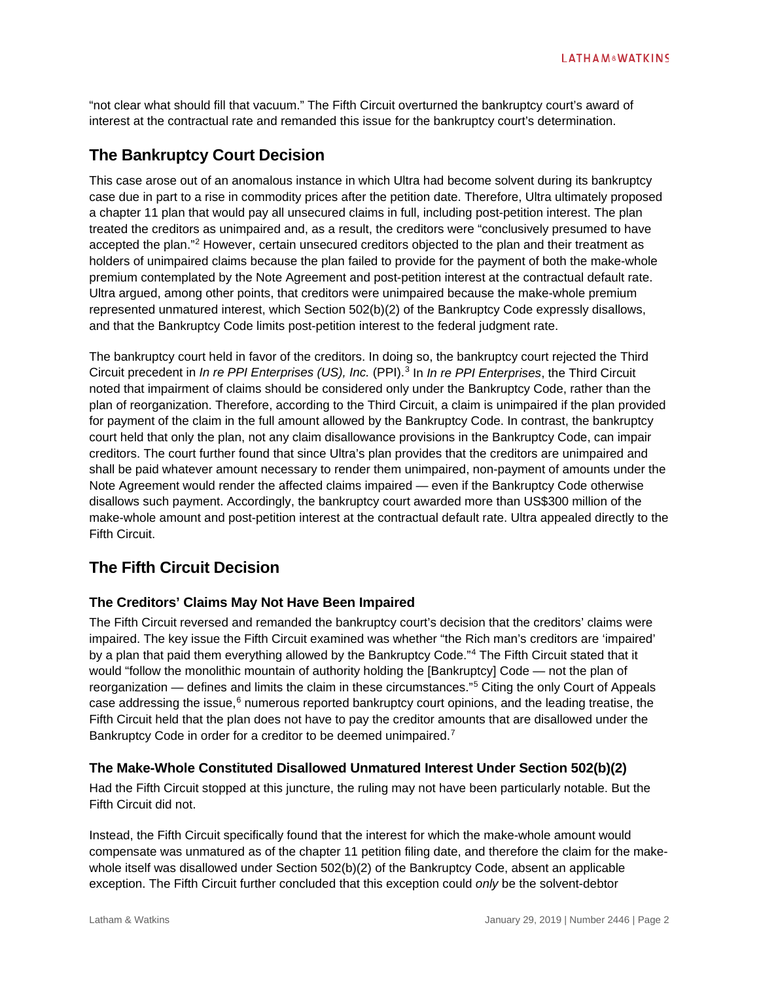"not clear what should fill that vacuum." The Fifth Circuit overturned the bankruptcy court's award of interest at the contractual rate and remanded this issue for the bankruptcy court's determination.

# **The Bankruptcy Court Decision**

This case arose out of an anomalous instance in which Ultra had become solvent during its bankruptcy case due in part to a rise in commodity prices after the petition date. Therefore, Ultra ultimately proposed a chapter 11 plan that would pay all unsecured claims in full, including post-petition interest. The plan treated the creditors as unimpaired and, as a result, the creditors were "conclusively presumed to have accepted the plan."[2](#page-5-1) However, certain unsecured creditors objected to the plan and their treatment as holders of unimpaired claims because the plan failed to provide for the payment of both the make-whole premium contemplated by the Note Agreement and post-petition interest at the contractual default rate. Ultra argued, among other points, that creditors were unimpaired because the make-whole premium represented unmatured interest, which Section 502(b)(2) of the Bankruptcy Code expressly disallows, and that the Bankruptcy Code limits post-petition interest to the federal judgment rate.

The bankruptcy court held in favor of the creditors. In doing so, the bankruptcy court rejected the Third Circuit precedent in *In re PPI Enterprises (US), Inc.* (PPI).[3](#page-5-2) In *In re PPI Enterprises*, the Third Circuit noted that impairment of claims should be considered only under the Bankruptcy Code, rather than the plan of reorganization. Therefore, according to the Third Circuit, a claim is unimpaired if the plan provided for payment of the claim in the full amount allowed by the Bankruptcy Code. In contrast, the bankruptcy court held that only the plan, not any claim disallowance provisions in the Bankruptcy Code, can impair creditors. The court further found that since Ultra's plan provides that the creditors are unimpaired and shall be paid whatever amount necessary to render them unimpaired, non-payment of amounts under the Note Agreement would render the affected claims impaired — even if the Bankruptcy Code otherwise disallows such payment. Accordingly, the bankruptcy court awarded more than US\$300 million of the make-whole amount and post-petition interest at the contractual default rate. Ultra appealed directly to the Fifth Circuit.

# **The Fifth Circuit Decision**

# **The Creditors' Claims May Not Have Been Impaired**

The Fifth Circuit reversed and remanded the bankruptcy court's decision that the creditors' claims were impaired. The key issue the Fifth Circuit examined was whether "the Rich man's creditors are 'impaired' by a plan that paid them everything allowed by the Bankruptcy Code."<sup>[4](#page-5-3)</sup> The Fifth Circuit stated that it would "follow the monolithic mountain of authority holding the [Bankruptcy] Code — not the plan of reorganization — defines and limits the claim in these circumstances."[5](#page-5-4) Citing the only Court of Appeals case addressing the issue, $6$  numerous reported bankruptcy court opinions, and the leading treatise, the Fifth Circuit held that the plan does not have to pay the creditor amounts that are disallowed under the Bankruptcy Code in order for a creditor to be deemed unimpaired.<sup>[7](#page-5-6)</sup>

# **The Make-Whole Constituted Disallowed Unmatured Interest Under Section 502(b)(2)**

Had the Fifth Circuit stopped at this juncture, the ruling may not have been particularly notable. But the Fifth Circuit did not.

Instead, the Fifth Circuit specifically found that the interest for which the make-whole amount would compensate was unmatured as of the chapter 11 petition filing date, and therefore the claim for the makewhole itself was disallowed under Section 502(b)(2) of the Bankruptcy Code, absent an applicable exception. The Fifth Circuit further concluded that this exception could *only* be the solvent-debtor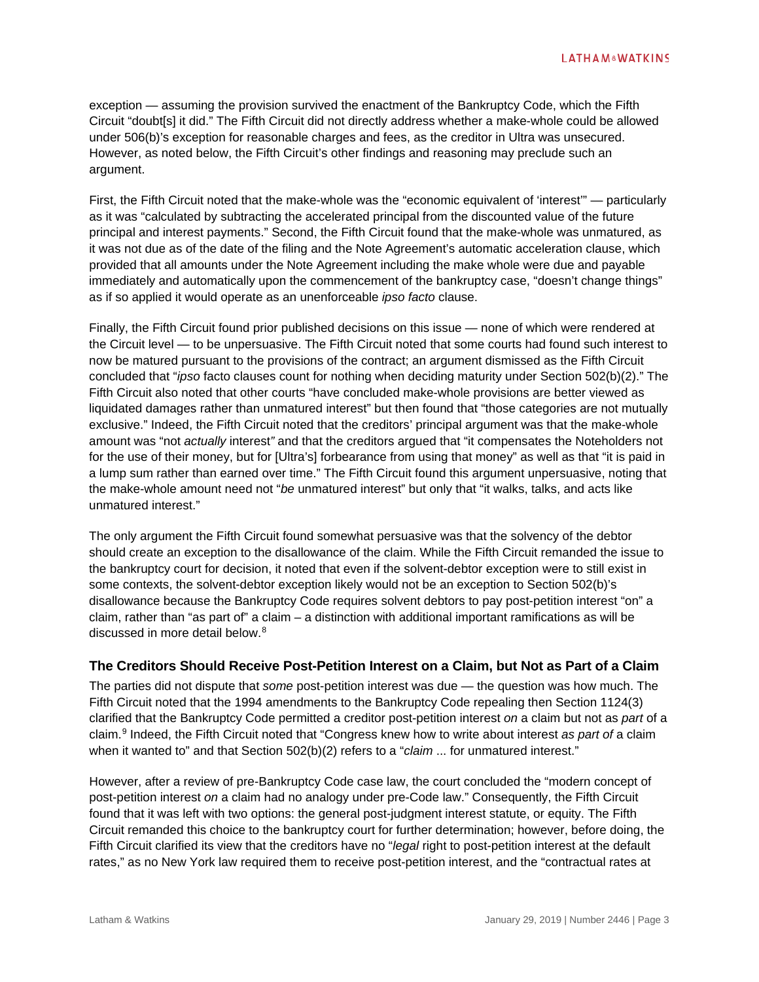exception — assuming the provision survived the enactment of the Bankruptcy Code, which the Fifth Circuit "doubt[s] it did." The Fifth Circuit did not directly address whether a make-whole could be allowed under 506(b)'s exception for reasonable charges and fees, as the creditor in Ultra was unsecured. However, as noted below, the Fifth Circuit's other findings and reasoning may preclude such an argument.

First, the Fifth Circuit noted that the make-whole was the "economic equivalent of 'interest'" — particularly as it was "calculated by subtracting the accelerated principal from the discounted value of the future principal and interest payments." Second, the Fifth Circuit found that the make-whole was unmatured, as it was not due as of the date of the filing and the Note Agreement's automatic acceleration clause, which provided that all amounts under the Note Agreement including the make whole were due and payable immediately and automatically upon the commencement of the bankruptcy case, "doesn't change things" as if so applied it would operate as an unenforceable *ipso facto* clause.

Finally, the Fifth Circuit found prior published decisions on this issue — none of which were rendered at the Circuit level — to be unpersuasive. The Fifth Circuit noted that some courts had found such interest to now be matured pursuant to the provisions of the contract; an argument dismissed as the Fifth Circuit concluded that "*ipso* facto clauses count for nothing when deciding maturity under Section 502(b)(2)." The Fifth Circuit also noted that other courts "have concluded make-whole provisions are better viewed as liquidated damages rather than unmatured interest" but then found that "those categories are not mutually exclusive." Indeed, the Fifth Circuit noted that the creditors' principal argument was that the make-whole amount was "not *actually* interest*"* and that the creditors argued that "it compensates the Noteholders not for the use of their money, but for [Ultra's] forbearance from using that money" as well as that "it is paid in a lump sum rather than earned over time." The Fifth Circuit found this argument unpersuasive, noting that the make-whole amount need not "*be* unmatured interest" but only that "it walks, talks, and acts like unmatured interest."

The only argument the Fifth Circuit found somewhat persuasive was that the solvency of the debtor should create an exception to the disallowance of the claim. While the Fifth Circuit remanded the issue to the bankruptcy court for decision, it noted that even if the solvent-debtor exception were to still exist in some contexts, the solvent-debtor exception likely would not be an exception to Section 502(b)'s disallowance because the Bankruptcy Code requires solvent debtors to pay post-petition interest "on" a claim, rather than "as part of" a claim – a distinction with additional important ramifications as will be discussed in more detail below <sup>[8](#page-5-7)</sup>

# **The Creditors Should Receive Post-Petition Interest on a Claim, but Not as Part of a Claim**

The parties did not dispute that *some* post-petition interest was due — the question was how much. The Fifth Circuit noted that the 1994 amendments to the Bankruptcy Code repealing then Section 1124(3) clarified that the Bankruptcy Code permitted a creditor post-petition interest *on* a claim but not as *part* of a claim.[9](#page-5-8) Indeed, the Fifth Circuit noted that "Congress knew how to write about interest *as part of* a claim when it wanted to" and that Section 502(b)(2) refers to a "*claim* ... for unmatured interest."

However, after a review of pre-Bankruptcy Code case law, the court concluded the "modern concept of post-petition interest *on* a claim had no analogy under pre-Code law." Consequently, the Fifth Circuit found that it was left with two options: the general post-judgment interest statute, or equity. The Fifth Circuit remanded this choice to the bankruptcy court for further determination; however, before doing, the Fifth Circuit clarified its view that the creditors have no "*legal* right to post-petition interest at the default rates," as no New York law required them to receive post-petition interest, and the "contractual rates at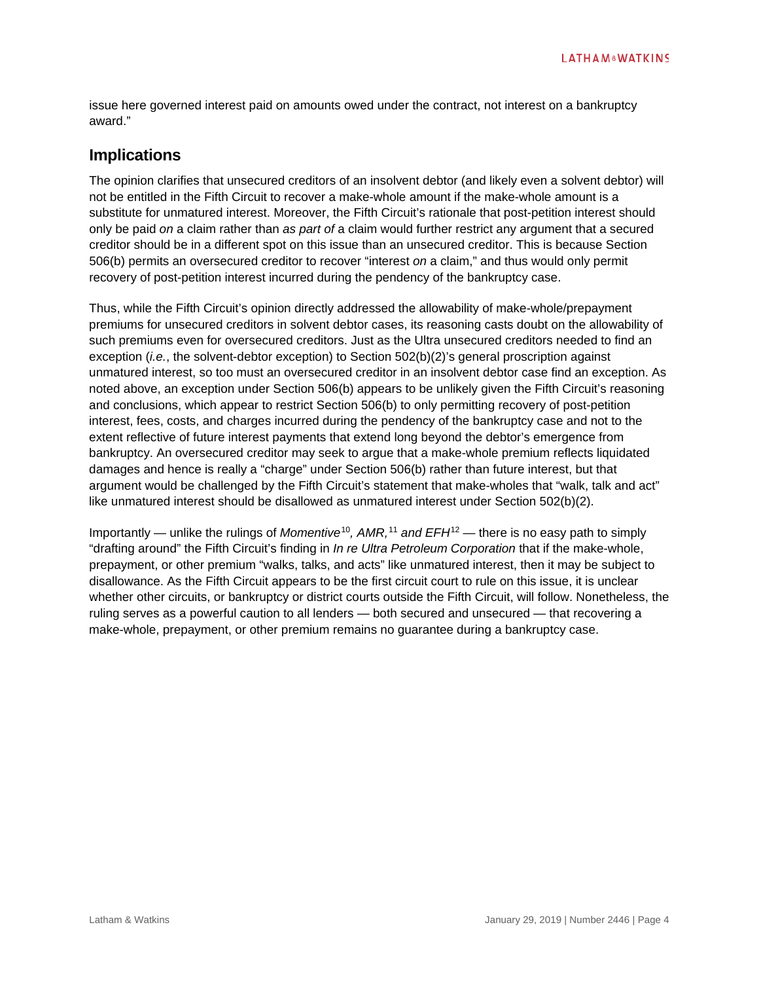issue here governed interest paid on amounts owed under the contract, not interest on a bankruptcy award."

# **Implications**

The opinion clarifies that unsecured creditors of an insolvent debtor (and likely even a solvent debtor) will not be entitled in the Fifth Circuit to recover a make-whole amount if the make-whole amount is a substitute for unmatured interest. Moreover, the Fifth Circuit's rationale that post-petition interest should only be paid *on* a claim rather than *as part of* a claim would further restrict any argument that a secured creditor should be in a different spot on this issue than an unsecured creditor. This is because Section 506(b) permits an oversecured creditor to recover "interest *on* a claim," and thus would only permit recovery of post-petition interest incurred during the pendency of the bankruptcy case.

Thus, while the Fifth Circuit's opinion directly addressed the allowability of make-whole/prepayment premiums for unsecured creditors in solvent debtor cases, its reasoning casts doubt on the allowability of such premiums even for oversecured creditors. Just as the Ultra unsecured creditors needed to find an exception (*i.e.*, the solvent-debtor exception) to Section 502(b)(2)'s general proscription against unmatured interest, so too must an oversecured creditor in an insolvent debtor case find an exception. As noted above, an exception under Section 506(b) appears to be unlikely given the Fifth Circuit's reasoning and conclusions, which appear to restrict Section 506(b) to only permitting recovery of post-petition interest, fees, costs, and charges incurred during the pendency of the bankruptcy case and not to the extent reflective of future interest payments that extend long beyond the debtor's emergence from bankruptcy. An oversecured creditor may seek to argue that a make-whole premium reflects liquidated damages and hence is really a "charge" under Section 506(b) rather than future interest, but that argument would be challenged by the Fifth Circuit's statement that make-wholes that "walk, talk and act" like unmatured interest should be disallowed as unmatured interest under Section 502(b)(2).

Importantly — unlike the rulings of *Momentive*[10](#page-5-9)*, AMR,* [11](#page-5-10) *and EFH*[12](#page-5-11) — there is no easy path to simply "drafting around" the Fifth Circuit's finding in *In re Ultra Petroleum Corporation* that if the make-whole, prepayment, or other premium "walks, talks, and acts" like unmatured interest, then it may be subject to disallowance. As the Fifth Circuit appears to be the first circuit court to rule on this issue, it is unclear whether other circuits, or bankruptcy or district courts outside the Fifth Circuit, will follow. Nonetheless, the ruling serves as a powerful caution to all lenders — both secured and unsecured — that recovering a make-whole, prepayment, or other premium remains no guarantee during a bankruptcy case.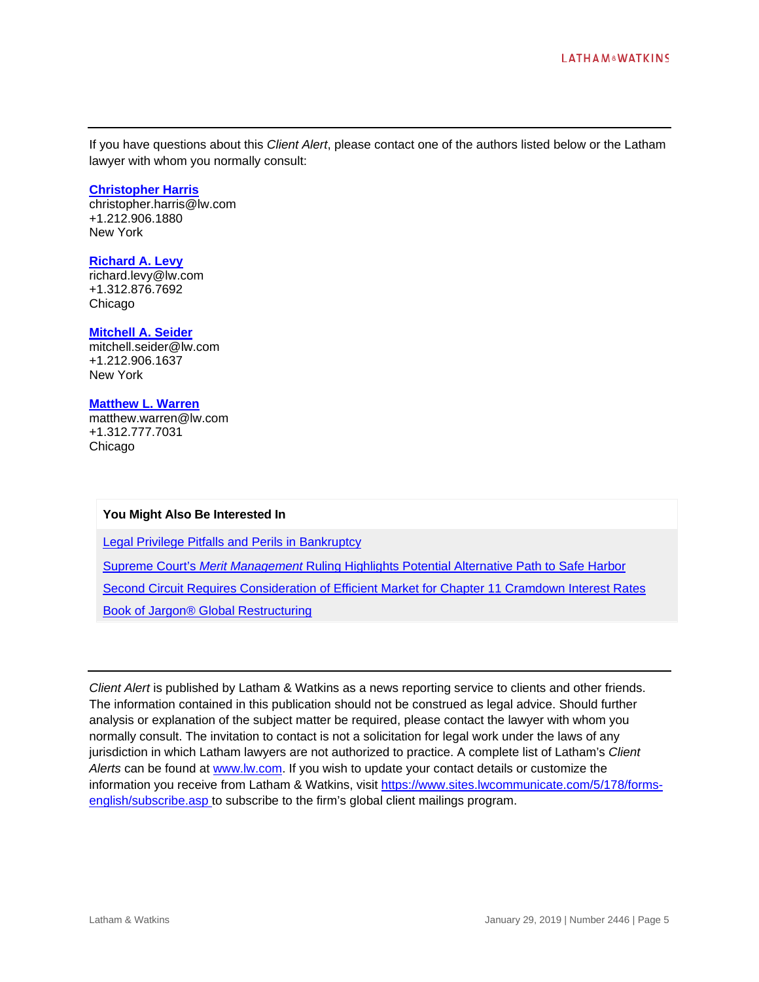If you have questions about this *Client Alert*, please contact one of the authors listed below or the Latham lawyer with whom you normally consult:

#### **[Christopher Harris](https://www.lw.com/people/christopher-harris)**

[christopher.harris@lw.com](mailto:christopher.harris@lw.com) +1.212.906.1880 New York

# **[Richard A. Levy](https://www.lw.com/people/richard-levy)**

[richard.levy@lw.com](mailto:richard.levy@lw.com) +1.312.876.7692 Chicago

#### **[Mitchell A. Seider](https://www.lw.com/people/mitchell-seider)**

[mitchell.seider@lw.com](mailto:mitchell.seider@lw.com) +1.212.906.1637 New York

### **[Matthew L. Warren](https://www.lw.com/people/MatthewLWarren)**

[matthew.warren@lw.com](mailto:matthew.warren@lw.com) +1.312.777.7031 Chicago

### **You Might Also Be Interested In**

[Legal Privilege Pitfalls and Perils in Bankruptcy](https://www.lw.com/thoughtLeadership/legal-privilege-pitfalls-and-perils-in-bankruptcy)

Supreme Court's *Merit Management* [Ruling Highlights Potential Alternative Path to Safe Harbor](https://www.lw.com/thoughtLeadership/lw-supreme-courts-merit-management-ruling-highlights-potential-alternative-path-to-safe-harbor)

[Second Circuit Requires Consideration of Efficient Market for Chapter 11 Cramdown Interest Rates](https://www.lw.com/thoughtLeadership/lw-second-circuit-adopts-efficient-market-approach-for-chapter-11-cramdown-interest-rates)

[Book of Jargon® Global Restructuring](https://www.lw.com/bookofjargon-apps/boj-global-restructuring)

*Client Alert* is published by Latham & Watkins as a news reporting service to clients and other friends. The information contained in this publication should not be construed as legal advice. Should further analysis or explanation of the subject matter be required, please contact the lawyer with whom you normally consult. The invitation to contact is not a solicitation for legal work under the laws of any jurisdiction in which Latham lawyers are not authorized to practice. A complete list of Latham's *Client Alerts* can be found at [www.lw.com.](http://www.lw.com/) If you wish to update your contact details or customize the information you receive from Latham & Watkins, visit [https://www.sites.lwcommunicate.com/5/178/forms](https://www.sites.lwcommunicate.com/5/178/forms-english/subscribe.asp)[english/subscribe.asp](https://www.sites.lwcommunicate.com/5/178/forms-english/subscribe.asp) to subscribe to the firm's global client mailings program.